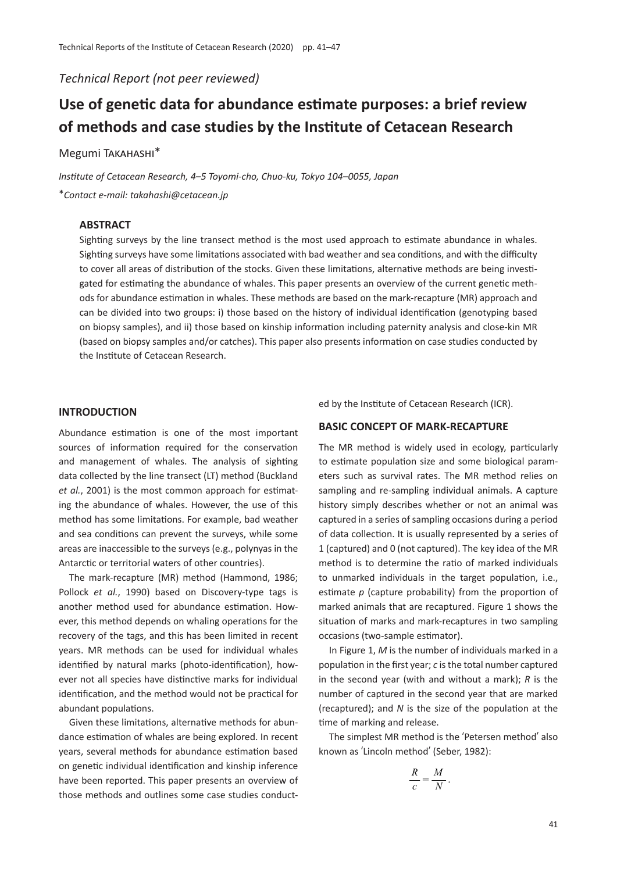*Technical Report (not peer reviewed)*

# Use of genetic data for abundance estimate purposes: a brief review **of methods and case studies by the Ins�tute of Cetacean Research**

# Megumi Takahashi\*

*Institute of Cetacean Research, 4*–*5 Toyomi-cho, Chuo-ku, Tokyo 104*–*0055, Japan* \**Contact e-mail: takahashi@cetacean.jp*

## **ABSTRACT**

Sighting surveys by the line transect method is the most used approach to estimate abundance in whales. Sighting surveys have some limitations associated with bad weather and sea conditions, and with the difficulty to cover all areas of distribution of the stocks. Given these limitations, alternative methods are being investigated for estimating the abundance of whales. This paper presents an overview of the current genetic methods for abundance estimation in whales. These methods are based on the mark-recapture (MR) approach and can be divided into two groups: i) those based on the history of individual identification (genotyping based on biopsy samples), and ii) those based on kinship information including paternity analysis and close-kin MR (based on biopsy samples and/or catches). This paper also presents information on case studies conducted by the Institute of Cetacean Research.

## **INTRODUCTION**

Abundance estimation is one of the most important sources of information required for the conservation and management of whales. The analysis of sighting data collected by the line transect (LT) method (Buckland *et al.*, 2001) is the most common approach for estimating the abundance of whales. However, the use of this method has some limitations. For example, bad weather and sea conditions can prevent the surveys, while some areas are inaccessible to the surveys (e.g., polynyas in the Antarctic or territorial waters of other countries).

The mark-recapture (MR) method (Hammond, 1986; Pollock *et al.*, 1990) based on Discovery-type tags is another method used for abundance estimation. However, this method depends on whaling operations for the recovery of the tags, and this has been limited in recent years. MR methods can be used for individual whales identified by natural marks (photo-identification), however not all species have distinctive marks for individual identification, and the method would not be practical for abundant populations.

Given these limitations, alternative methods for abundance estimation of whales are being explored. In recent years, several methods for abundance estimation based on genetic individual identification and kinship inference have been reported. This paper presents an overview of those methods and outlines some case studies conducted by the Institute of Cetacean Research (ICR).

# **BASIC CONCEPT OF MARK-RECAPTURE**

The MR method is widely used in ecology, particularly to estimate population size and some biological parameters such as survival rates. The MR method relies on sampling and re-sampling individual animals. A capture history simply describes whether or not an animal was captured in a series of sampling occasions during a period of data collection. It is usually represented by a series of 1 (captured) and 0 (not captured). The key idea of the MR method is to determine the ratio of marked individuals to unmarked individuals in the target population, i.e., estimate  $p$  (capture probability) from the proportion of marked animals that are recaptured. Figure 1 shows the situation of marks and mark-recaptures in two sampling occasions (two-sample estimator).

In Figure 1, *M* is the number of individuals marked in a population in the first year; *c* is the total number captured in the second year (with and without a mark); *R* is the number of captured in the second year that are marked (recaptured); and *N* is the size of the population at the time of marking and release.

The simplest MR method is the ʻPetersen method' also known as ʻLincoln method' (Seber, 1982):

$$
\frac{R}{c} = \frac{M}{N}.
$$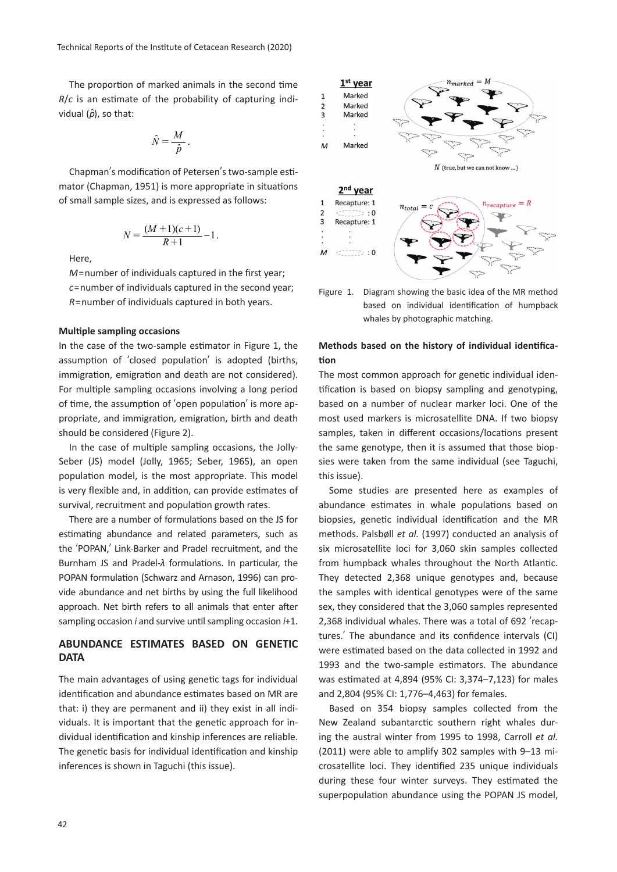The proportion of marked animals in the second time  $R/c$  is an estimate of the probability of capturing individual  $(\hat{\rho})$ , so that:

$$
\hat{N} = \frac{M}{\hat{p}}.
$$

Chapman's modification of Petersen's two-sample estimator (Chapman, 1951) is more appropriate in situations of small sample sizes, and is expressed as follows:

$$
N = \frac{(M+1)(c+1)}{R+1} - 1.
$$

Here,

*M*=number of individuals captured in the first year; *c*=number of individuals captured in the second year; *R*=number of individuals captured in both years.

# **Multiple sampling occasions**

In the case of the two-sample estimator in Figure 1, the assumption of 'closed population' is adopted (births, immigration, emigration and death are not considered). For multiple sampling occasions involving a long period of time, the assumption of 'open population' is more appropriate, and immigration, emigration, birth and death should be considered (Figure 2).

In the case of multiple sampling occasions, the Jolly-Seber (JS) model (Jolly, 1965; Seber, 1965), an open population model, is the most appropriate. This model is very flexible and, in addition, can provide estimates of survival, recruitment and population growth rates.

There are a number of formulations based on the JS for estimating abundance and related parameters, such as the ʻPOPAN,' Link-Barker and Pradel recruitment, and the Burnham JS and Pradel-λ formulations. In particular, the POPAN formulation (Schwarz and Arnason, 1996) can provide abundance and net births by using the full likelihood approach. Net birth refers to all animals that enter after sampling occasion *i* and survive until sampling occasion *i*+1.

# **ABUNDANCE ESTIMATES BASED ON GENETIC DATA**

The main advantages of using genetic tags for individual identification and abundance estimates based on MR are that: i) they are permanent and ii) they exist in all individuals. It is important that the genetic approach for individual identification and kinship inferences are reliable. The genetic basis for individual identification and kinship inferences is shown in Taguchi (this issue).



Figure 1. Diagram showing the basic idea of the MR method based on individual identification of humpback whales by photographic matching.

# **Methods based on the history of individual iden�fica- �on**

The most common approach for genetic individual identification is based on biopsy sampling and genotyping, based on a number of nuclear marker loci. One of the most used markers is microsatellite DNA. If two biopsy samples, taken in different occasions/locations present the same genotype, then it is assumed that those biopsies were taken from the same individual (see Taguchi, this issue).

Some studies are presented here as examples of abundance estimates in whale populations based on biopsies, genetic individual identification and the MR methods. Palsbøll *et al.* (1997) conducted an analysis of six microsatellite loci for 3,060 skin samples collected from humpback whales throughout the North Atlantic. They detected 2,368 unique genotypes and, because the samples with identical genotypes were of the same sex, they considered that the 3,060 samples represented 2,368 individual whales. There was a total of 692 ʻrecaptures.' The abundance and its confidence intervals (CI) were estimated based on the data collected in 1992 and 1993 and the two-sample estimators. The abundance was estimated at 4,894 (95% CI: 3,374-7,123) for males and 2,804 (95% CI: 1,776–4,463) for females.

Based on 354 biopsy samples collected from the New Zealand subantarc�c southern right whales during the austral winter from 1995 to 1998, Carroll *et al.* (2011) were able to amplify 302 samples with 9–13 microsatellite loci. They iden�fied 235 unique individuals during these four winter surveys. They estimated the superpopulation abundance using the POPAN JS model,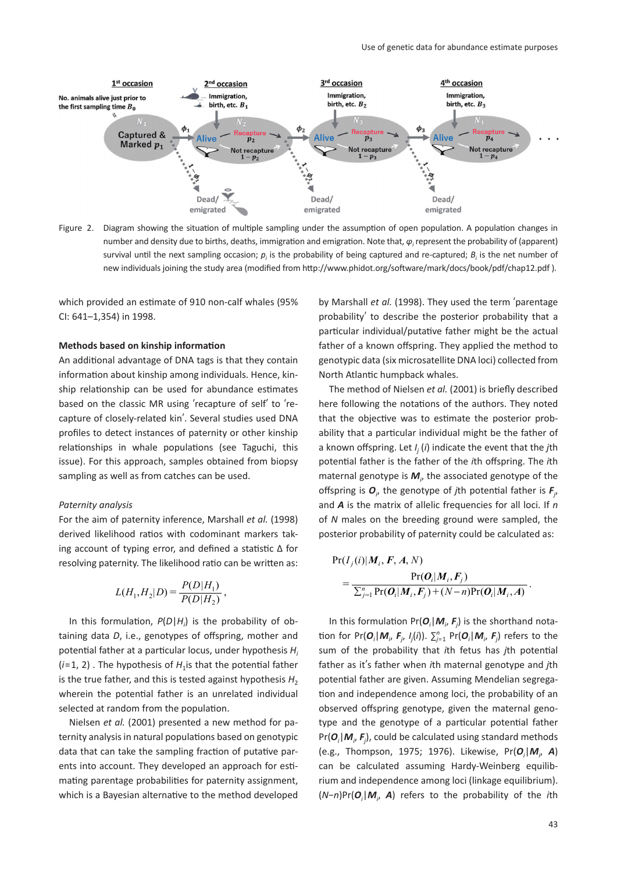

Figure 2. Diagram showing the situation of multiple sampling under the assumption of open population. A population changes in number and density due to births, deaths, immigration and emigration. Note that, *φ<sub>i</sub>* represent the probability of (apparent) survival until the next sampling occasion;  $p_i$  is the probability of being captured and re-captured;  $B_i$  is the net number of new individuals joining the study area (modified from http://www.phidot.org/software/mark/docs/book/pdf/chap12.pdf ).

which provided an estimate of 910 non-calf whales (95% CI: 641–1,354) in 1998.

# **Methods based on kinship information**

An additional advantage of DNA tags is that they contain information about kinship among individuals. Hence, kinship relationship can be used for abundance estimates based on the classic MR using ʻrecapture of self' to ʻrecapture of closely-related kin'. Several studies used DNA profiles to detect instances of paternity or other kinship relationships in whale populations (see Taguchi, this issue). For this approach, samples obtained from biopsy sampling as well as from catches can be used.

#### *Paternity analysis*

For the aim of paternity inference, Marshall *et al.* (1998) derived likelihood ratios with codominant markers taking account of typing error, and defined a statistic  $\Delta$  for resolving paternity. The likelihood ratio can be written as:

$$
L(H_1, H_2|D) = \frac{P(D|H_1)}{P(D|H_2)},
$$

In this formulation,  $P(D|H_i)$  is the probability of obtaining data *D*, i.e., genotypes of offspring, mother and potential father at a particular locus, under hypothesis *H<sub>i</sub>*  $(i=1, 2)$ . The hypothesis of  $H<sub>1</sub>$  is that the potential father is the true father, and this is tested against hypothesis  $H_2$ wherein the potential father is an unrelated individual selected at random from the population.

Nielsen *et al.* (2001) presented a new method for paternity analysis in natural populations based on genotypic data that can take the sampling fraction of putative parents into account. They developed an approach for estimating parentage probabilities for paternity assignment, which is a Bayesian alternative to the method developed

by Marshall *et al.* (1998). They used the term ʻparentage probability' to describe the posterior probability that a particular individual/putative father might be the actual father of a known offspring. They applied the method to genotypic data (six microsatellite DNA loci) collected from North Atlantic humpback whales.

The method of Nielsen *et al.* (2001) is briefly described here following the notations of the authors. They noted that the objective was to estimate the posterior probability that a particular individual might be the father of a known offspring. Let *I<sup>j</sup>* (*i*) indicate the event that the *j*th poten�al father is the father of the *i*th offspring. The *i*th maternal genotype is *M<sup>i</sup>* , the associated genotype of the offspring is  $O_j$ , the genotype of *j*th potential father is  $F_j$ , and *A* is the matrix of allelic frequencies for all loci. If *n* of *N* males on the breeding ground were sampled, the posterior probability of paternity could be calculated as:

$$
\Pr(I_j(i)|M_i, F, A, N) = \frac{\Pr(\boldsymbol{O}_i | \boldsymbol{M}_i, F_j)}{\sum_{j=1}^n \Pr(\boldsymbol{O}_i | \boldsymbol{M}_i, F_j) + (N-n) \Pr(\boldsymbol{O}_i | \boldsymbol{M}_i, A)}.
$$

In this formulation  $Pr(O_i | M_i, F_j)$  is the shorthand notation for Pr $(O_i | M_i, F_j, I_j(i))$ .  $\sum_{j=1}^n Pr(O_i | M_i, F_j)$  refers to the sum of the probability that *i*th fetus has *j*th potential father as it's father when *i*th maternal genotype and *j*th potential father are given. Assuming Mendelian segregation and independence among loci, the probability of an observed offspring genotype, given the maternal genotype and the genotype of a particular potential father Pr(*O<sup>i</sup>* |*M<sup>i</sup>* , *Fj* ), could be calculated using standard methods (e.g., Thompson, 1975; 1976). Likewise, Pr(*O<sup>i</sup>* |*M<sup>i</sup>* , *A*) can be calculated assuming Hardy-Weinberg equilibrium and independence among loci (linkage equilibrium). (*N*−*n*)Pr(*O<sup>i</sup>* |*M<sup>i</sup>* , *A*) refers to the probability of the *i*th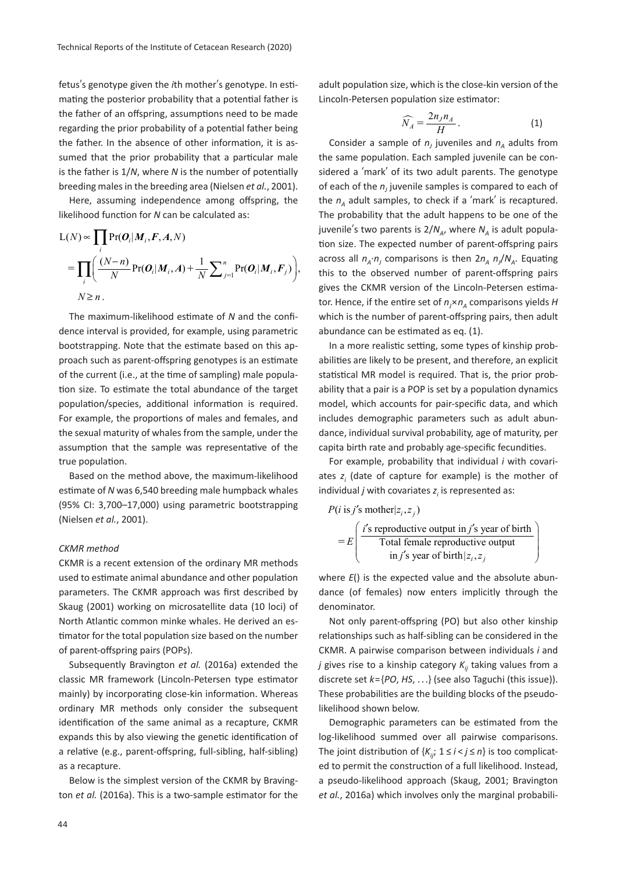fetus's genotype given the *i*th mother's genotype. In estimating the posterior probability that a potential father is the father of an offspring, assumptions need to be made regarding the prior probability of a potential father being the father. In the absence of other information, it is assumed that the prior probability that a particular male is the father is  $1/N$ , where *N* is the number of potentially breeding males in the breeding area (Nielsen *et al.*, 2001).

Here, assuming independence among offspring, the likelihood function for *N* can be calculated as:

$$
L(N) \propto \prod_{i} Pr(O_i | M_i, F, A, N)
$$
  
= 
$$
\prod_{i} \left( \frac{(N-n)}{N} Pr(O_i | M_i, A) + \frac{1}{N} \sum_{j=1}^{n} Pr(O_i | M_i, F_j) \right),
$$
  

$$
N \ge n.
$$

The maximum-likelihood estimate of *N* and the confidence interval is provided, for example, using parametric bootstrapping. Note that the estimate based on this approach such as parent-offspring genotypes is an estimate of the current (i.e., at the time of sampling) male population size. To estimate the total abundance of the target population/species, additional information is required. For example, the proportions of males and females, and the sexual maturity of whales from the sample, under the assumption that the sample was representative of the true population.

Based on the method above, the maximum-likelihood estimate of *N* was 6,540 breeding male humpback whales (95% CI: 3,700–17,000) using parametric bootstrapping (Nielsen *et al.*, 2001).

#### *CKMR method*

CKMR is a recent extension of the ordinary MR methods used to estimate animal abundance and other population parameters. The CKMR approach was first described by Skaug (2001) working on microsatellite data (10 loci) of North Atlantic common minke whales. He derived an estimator for the total population size based on the number of parent-offspring pairs (POPs).

Subsequently Bravington *et al.* (2016a) extended the classic MR framework (Lincoln-Petersen type estimator mainly) by incorporating close-kin information. Whereas ordinary MR methods only consider the subsequent identification of the same animal as a recapture, CKMR expands this by also viewing the genetic identification of a relative (e.g., parent-offspring, full-sibling, half-sibling) as a recapture.

Below is the simplest version of the CKMR by Bravington *et al.* (2016a). This is a two-sample estimator for the adult population size, which is the close-kin version of the Lincoln-Petersen population size estimator:

$$
\widehat{N}_A = \frac{2n_J n_A}{H} \,. \tag{1}
$$

Consider a sample of  $n_j$  juveniles and  $n_A$  adults from the same population. Each sampled juvenile can be considered a ʻmark' of its two adult parents. The genotype of each of the  $n<sub>j</sub>$  juvenile samples is compared to each of the  $n_A$  adult samples, to check if a 'mark' is recaptured. The probability that the adult happens to be one of the juvenile's two parents is  $2/N_A$ , where  $N_A$  is adult population size. The expected number of parent-offspring pairs across all  $n_A \cdot n_J$  comparisons is then  $2n_A n_J/N_A$ . Equating this to the observed number of parent-offspring pairs gives the CKMR version of the Lincoln-Petersen estimator. Hence, if the entire set of  $n_A \times n_A$  comparisons yields *H* which is the number of parent-offspring pairs, then adult abundance can be estimated as eq. (1).

In a more realistic setting, some types of kinship probabilities are likely to be present, and therefore, an explicit statistical MR model is required. That is, the prior probability that a pair is a POP is set by a population dynamics model, which accounts for pair-specific data, and which includes demographic parameters such as adult abundance, individual survival probability, age of maturity, per capita birth rate and probably age-specific fecundities.

For example, probability that individual *i* with covariates *zi* (date of capture for example) is the mother of individual  $j$  with covariates  $z_i$  is represented as:

$$
P(i \text{ is } j's \text{ mother} | z_i, z_j)
$$
\n
$$
= E \left( \frac{i's \text{ reproductive output in } j's \text{ year of birth}}{\text{Total female reproductive output}} \right)
$$
\n
$$
= E \left( \frac{i's \text{ reproductive output in } j's \text{ year of birth}}{\text{in } j's \text{ year of birth}} \right)
$$

where  $E()$  is the expected value and the absolute abundance (of females) now enters implicitly through the denominator.

Not only parent-offspring (PO) but also other kinship relationships such as half-sibling can be considered in the CKMR. A pairwise comparison between individuals *i* and *j* gives rise to a kinship category  $K_{ii}$  taking values from a discrete set *k*={*PO*, *HS*, . . .} (see also Taguchi (this issue)). These probabilities are the building blocks of the pseudolikelihood shown below.

Demographic parameters can be estimated from the log-likelihood summed over all pairwise comparisons. The joint distribution of  $\{K_{ii}; 1 \le i < j \le n\}$  is too complicated to permit the construction of a full likelihood. Instead, a pseudo-likelihood approach (Skaug, 2001; Bravington *et al.*, 2016a) which involves only the marginal probabili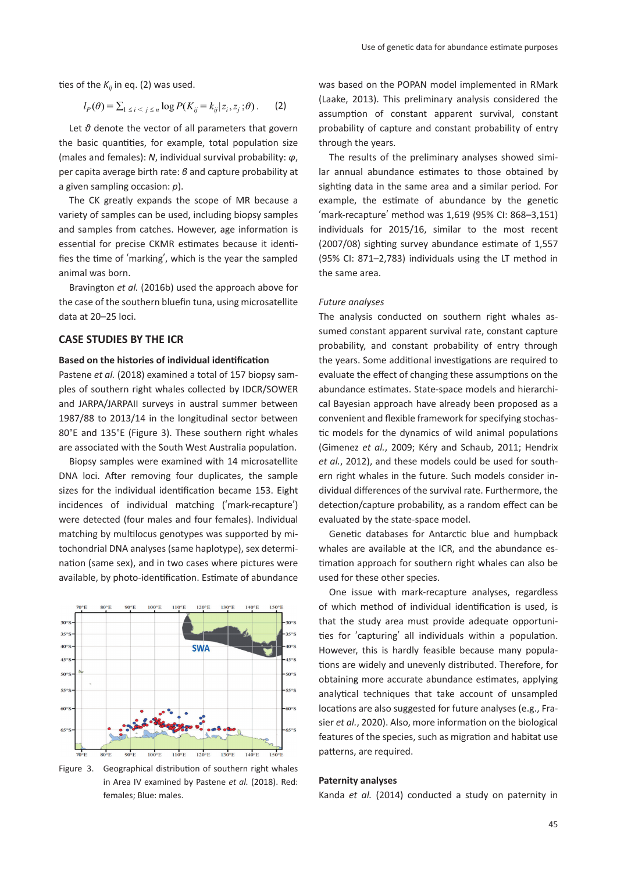ties of the  $K_{ii}$  in eq. (2) was used.

$$
l_P(\theta) = \sum_{1 \le i < j \le n} \log P(K_{ij} = k_{ij} | z_i, z_j; \theta). \tag{2}
$$

Let *θ* denote the vector of all parameters that govern the basic quantities, for example, total population size (males and females): *N*, individual survival probability: *φ*, per capita average birth rate: *β* and capture probability at a given sampling occasion: *p*).

The CK greatly expands the scope of MR because a variety of samples can be used, including biopsy samples and samples from catches. However, age information is essential for precise CKMR estimates because it identifies the time of 'marking', which is the year the sampled animal was born.

Bravington *et al.* (2016b) used the approach above for the case of the southern bluefin tuna, using microsatellite data at 20–25 loci.

### **CASE STUDIES BY THE ICR**

#### **Based on the histories of individual iden�fica�on**

Pastene *et al.* (2018) examined a total of 157 biopsy samples of southern right whales collected by IDCR/SOWER and JARPA/JARPAII surveys in austral summer between 1987/88 to 2013/14 in the longitudinal sector between 80°E and 135°E (Figure 3). These southern right whales are associated with the South West Australia population.

Biopsy samples were examined with 14 microsatellite DNA loci. After removing four duplicates, the sample sizes for the individual identification became 153. Eight incidences of individual matching (ʻmark-recapture') were detected (four males and four females). Individual matching by multilocus genotypes was supported by mitochondrial DNA analyses (same haplotype), sex determination (same sex), and in two cases where pictures were available, by photo-identification. Estimate of abundance



Figure 3. Geographical distribution of southern right whales in Area IV examined by Pastene *et al.* (2018). Red: females; Blue: males.

was based on the POPAN model implemented in RMark (Laake, 2013). This preliminary analysis considered the assumption of constant apparent survival, constant probability of capture and constant probability of entry through the years.

The results of the preliminary analyses showed similar annual abundance estimates to those obtained by sighting data in the same area and a similar period. For example, the estimate of abundance by the genetic ʻmark-recapture' method was 1,619 (95% CI: 868–3,151) individuals for 2015/16, similar to the most recent (2007/08) sighting survey abundance estimate of 1,557 (95% CI: 871–2,783) individuals using the LT method in the same area.

#### *Future analyses*

The analysis conducted on southern right whales assumed constant apparent survival rate, constant capture probability, and constant probability of entry through the years. Some additional investigations are required to evaluate the effect of changing these assumptions on the abundance estimates. State-space models and hierarchical Bayesian approach have already been proposed as a convenient and flexible framework for specifying stochas tic models for the dynamics of wild animal populations (Gimenez *et al.*, 2009; Kéry and Schaub, 2011; Hendrix *et al.*, 2012), and these models could be used for southern right whales in the future. Such models consider individual differences of the survival rate. Furthermore, the detection/capture probability, as a random effect can be evaluated by the state-space model.

Genetic databases for Antarctic blue and humpback whales are available at the ICR, and the abundance es timation approach for southern right whales can also be used for these other species.

One issue with mark-recapture analyses, regardless of which method of individual identification is used, is that the study area must provide adequate opportuni ties for 'capturing' all individuals within a population. However, this is hardly feasible because many popula tions are widely and unevenly distributed. Therefore, for obtaining more accurate abundance estimates, applying analytical techniques that take account of unsampled locations are also suggested for future analyses (e.g., Frasier *et al.*, 2020). Also, more information on the biological features of the species, such as migration and habitat use patterns, are required.

#### **Paternity analyses**

Kanda *et al.* (2014) conducted a study on paternity in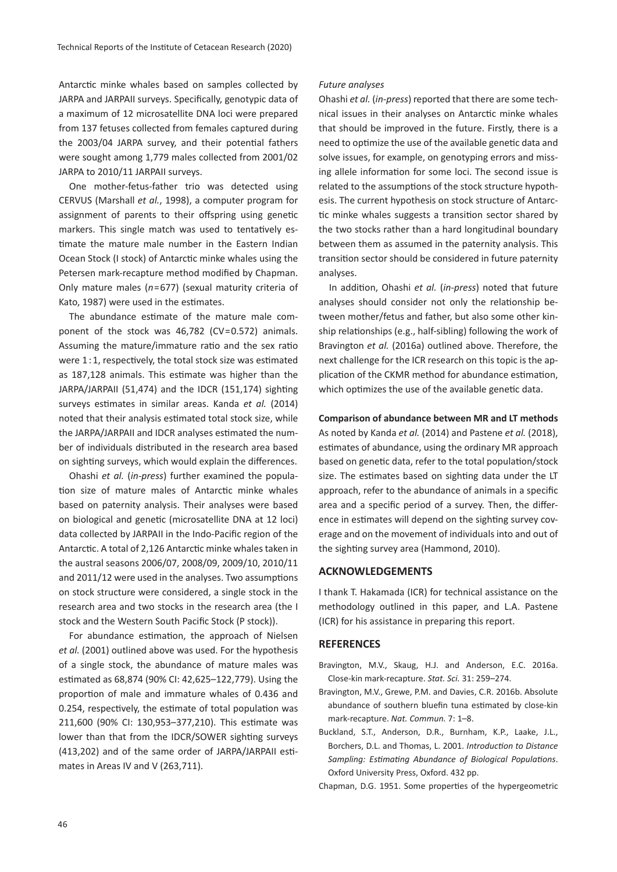Antarctic minke whales based on samples collected by JARPA and JARPAII surveys. Specifically, genotypic data of a maximum of 12 microsatellite DNA loci were prepared from 137 fetuses collected from females captured during the 2003/04 JARPA survey, and their potential fathers were sought among 1,779 males collected from 2001/02 JARPA to 2010/11 JARPAII surveys.

One mother-fetus-father trio was detected using CERVUS (Marshall *et al.*, 1998), a computer program for assignment of parents to their offspring using genetic markers. This single match was used to tentatively estimate the mature male number in the Eastern Indian Ocean Stock (I stock) of Antarc�c minke whales using the Petersen mark-recapture method modified by Chapman. Only mature males (*n*=677) (sexual maturity criteria of Kato, 1987) were used in the estimates.

The abundance estimate of the mature male component of the stock was 46,782 (CV=0.572) animals. Assuming the mature/immature ratio and the sex ratio were  $1:1$ , respectively, the total stock size was estimated as 187,128 animals. This estimate was higher than the JARPA/JARPAII (51,474) and the IDCR (151,174) sighting surveys estimates in similar areas. Kanda et al. (2014) noted that their analysis estimated total stock size, while the JARPA/JARPAII and IDCR analyses estimated the number of individuals distributed in the research area based on sighting surveys, which would explain the differences.

Ohashi *et al.* (*in-press*) further examined the popula tion size of mature males of Antarctic minke whales based on paternity analysis. Their analyses were based on biological and gene�c (microsatellite DNA at 12 loci) data collected by JARPAII in the Indo-Pacific region of the Antarctic. A total of 2,126 Antarctic minke whales taken in the austral seasons 2006/07, 2008/09, 2009/10, 2010/11 and 2011/12 were used in the analyses. Two assumptions on stock structure were considered, a single stock in the research area and two stocks in the research area (the I stock and the Western South Pacific Stock (P stock)).

For abundance estimation, the approach of Nielsen *et al.* (2001) outlined above was used. For the hypothesis of a single stock, the abundance of mature males was estimated as 68,874 (90% CI: 42,625-122,779). Using the proportion of male and immature whales of 0.436 and 0.254, respectively, the estimate of total population was 211,600 (90% CI: 130,953-377,210). This estimate was lower than that from the IDCR/SOWER sighting surveys (413,202) and of the same order of JARPA/JARPAII estimates in Areas IV and V (263,711).

#### *Future analyses*

Ohashi *et al.* (*in-press*) reported that there are some technical issues in their analyses on Antarc�c minke whales that should be improved in the future. Firstly, there is a need to optimize the use of the available genetic data and solve issues, for example, on genotyping errors and missing allele information for some loci. The second issue is related to the assumptions of the stock structure hypothesis. The current hypothesis on stock structure of Antarc tic minke whales suggests a transition sector shared by the two stocks rather than a hard longitudinal boundary between them as assumed in the paternity analysis. This transition sector should be considered in future paternity analyses.

In addi�on, Ohashi *et al.* (*in-press*) noted that future analyses should consider not only the relationship between mother/fetus and father, but also some other kinship relationships (e.g., half-sibling) following the work of Bravington *et al.* (2016a) outlined above. Therefore, the next challenge for the ICR research on this topic is the application of the CKMR method for abundance estimation, which optimizes the use of the available genetic data.

**Comparison of abundance between MR and LT methods**

As noted by Kanda *et al.* (2014) and Pastene *et al.* (2018), estimates of abundance, using the ordinary MR approach based on genetic data, refer to the total population/stock size. The estimates based on sighting data under the LT approach, refer to the abundance of animals in a specific area and a specific period of a survey. Then, the difference in estimates will depend on the sighting survey coverage and on the movement of individuals into and out of the sighting survey area (Hammond, 2010).

# **ACKNOWLEDGEMENTS**

I thank T. Hakamada (ICR) for technical assistance on the methodology outlined in this paper, and L.A. Pastene (ICR) for his assistance in preparing this report.

#### **REFERENCES**

- Bravington, M.V., Skaug, H.J. and Anderson, E.C. 2016a. Close-kin mark-recapture. *Stat. Sci.* 31: 259–274.
- Bravington, M.V., Grewe, P.M. and Davies, C.R. 2016b. Absolute abundance of southern bluefin tuna estimated by close-kin mark-recapture. *Nat. Commun.* 7: 1–8.
- Buckland, S.T., Anderson, D.R., Burnham, K.P., Laake, J.L., Borchers, D.L. and Thomas, L. 2001. *Introduction to Distance Sampling: Estimating Abundance of Biological Populations*. Oxford University Press, Oxford. 432 pp.
- Chapman, D.G. 1951. Some proper�es of the hypergeometric